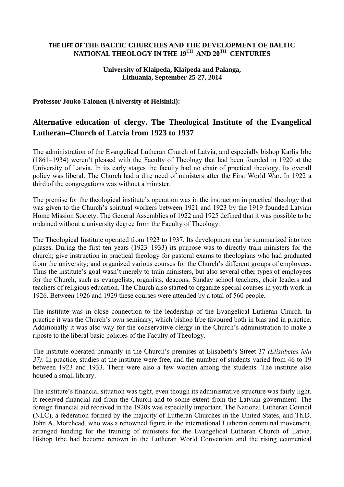## **THE LIFE OF THE BALTIC CHURCHES AND THE DEVELOPMENT OF BALTIC NATIONAL THEOLOGY IN THE 19TH AND 20TH CENTURIES**

## **University of Klaipeda, Klaipeda and Palanga, Lithuania, September 25-27, 2014**

## **Professor Jouko Talonen (University of Helsinki):**

## **Alternative education of clergy. The Theological Institute of the Evangelical Lutheran–Church of Latvia from 1923 to 1937**

The administration of the Evangelical Lutheran Church of Latvia, and especially bishop Karlis Irbe (1861–1934) weren't pleased with the Faculty of Theology that had been founded in 1920 at the University of Latvia. In its early stages the faculty had no chair of practical theology. Its overall policy was liberal. The Church had a dire need of ministers after the First World War. In 1922 a third of the congregations was without a minister.

The premise for the theological institute's operation was in the instruction in practical theology that was given to the Church's spiritual workers between 1921 and 1923 by the 1919 founded Latvian Home Mission Society. The General Assemblies of 1922 and 1925 defined that it was possible to be ordained without a university degree from the Faculty of Theology.

The Theological Institute operated from 1923 to 1937. Its development can be summarized into two phases. During the first ten years (1923–1933) its purpose was to directly train ministers for the church; give instruction in practical theology for pastoral exams to theologians who had graduated from the university; and organized various courses for the Church's different groups of employees. Thus the institute's goal wasn't merely to train ministers, but also several other types of employees for the Church, such as evangelists, organists, deacons, Sunday school teachers, choir leaders and teachers of religious education. The Church also started to organize special courses in youth work in 1926. Between 1926 and 1929 these courses were attended by a total of 560 people.

The institute was in close connection to the leadership of the Evangelical Lutheran Church. In practice it was the Church's own seminary, which bishop Irbe favoured both in bias and in practice. Additionally it was also way for the conservative clergy in the Church's administration to make a riposte to the liberal basic policies of the Faculty of Theology.

The institute operated primarily in the Church's premises at Elisabeth's Street 37 *(Elisabetes iela 37)*. In practice, studies at the institute were free, and the number of students varied from 46 to 19 between 1923 and 1933. There were also a few women among the students. The institute also housed a small library.

The institute's financial situation was tight, even though its administrative structure was fairly light. It received financial aid from the Church and to some extent from the Latvian government. The foreign financial aid received in the 1920s was especially important. The National Lutheran Council (NLC), a federation formed by the majority of Lutheran Churches in the United States, and Th.D. John A. Morehead, who was a renowned figure in the international Lutheran communal movement, arranged funding for the training of ministers for the Evangelical Lutheran Church of Latvia. Bishop Irbe had become renown in the Lutheran World Convention and the rising ecumenical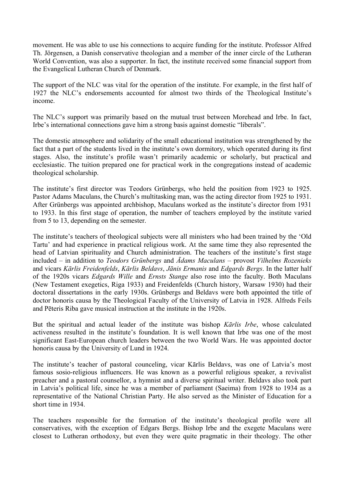movement. He was able to use his connections to acquire funding for the institute. Professor Alfred Th. Jörgensen, a Danish conservative theologian and a member of the inner circle of the Lutheran World Convention, was also a supporter. In fact, the institute received some financial support from the Evangelical Lutheran Church of Denmark.

The support of the NLC was vital for the operation of the institute. For example, in the first half of 1927 the NLC's endorsements accounted for almost two thirds of the Theological Institute's income.

The NLC's support was primarily based on the mutual trust between Morehead and Irbe. In fact, Irbe's international connections gave him a strong basis against domestic "liberals".

The domestic atmosphere and solidarity of the small educational institution was strengthened by the fact that a part of the students lived in the institute's own dormitory, which operated during its first stages. Also, the institute's profile wasn't primarily academic or scholarly, but practical and ecclesiastic. The tuition prepared one for practical work in the congregations instead of academic theological scholarship.

The institute's first director was Teodors Grünbergs, who held the position from 1923 to 1925. Pastor Adams Maculans, the Church's multitasking man, was the acting director from 1925 to 1931. After Grünbergs was appointed archbishop, Maculans worked as the institute's director from 1931 to 1933. In this first stage of operation, the number of teachers employed by the institute varied from 5 to 13, depending on the semester.

The institute's teachers of theological subjects were all ministers who had been trained by the 'Old Tartu' and had experience in practical religious work. At the same time they also represented the head of Latvian spirituality and Church administration. The teachers of the institute's first stage included – in addition to *Teodors Grünbergs* and *Ādams Maculans* – provost *Vilhelms Rozenieks* and vicars *Kārlis Freidenfelds*, *Kārlis Beldavs*, *Jānis Ermanis* and *Edgards Bergs*. In the latter half of the 1920s vicars *Edgards Wille* and *Ernsts Stange* also rose into the faculty. Both Maculans (New Testament exegetics, Riga 1933) and Freidenfelds (Church history, Warsaw 1930) had their doctoral dissertations in the early 1930s. Grünbergs and Beldavs were both appointed the title of doctor honoris causa by the Theological Faculty of the University of Latvia in 1928. Alfreds Feils and Pēteris Riba gave musical instruction at the institute in the 1920s.

But the spiritual and actual leader of the institute was bishop *Kārlis Irbe*, whose calculated activeness resulted in the institute's foundation. It is well known that Irbe was one of the most significant East-European church leaders between the two World Wars. He was appointed doctor honoris causa by the University of Lund in 1924.

The institute's teacher of pastoral counceling, vicar Kārlis Beldavs, was one of Latvia's most famous sosio-religious influencers. He was known as a powerful religious speaker, a revivalist preacher and a pastoral counsellor, a hymnist and a diverse spiritual writer. Beldavs also took part in Latvia's political life, since he was a member of parliament (Saeima) from 1928 to 1934 as a representative of the National Christian Party. He also served as the Minister of Education for a short time in 1934.

The teachers responsible for the formation of the institute's theological profile were all conservatives, with the exception of Edgars Bergs. Bishop Irbe and the exegete Maculans were closest to Lutheran orthodoxy, but even they were quite pragmatic in their theology. The other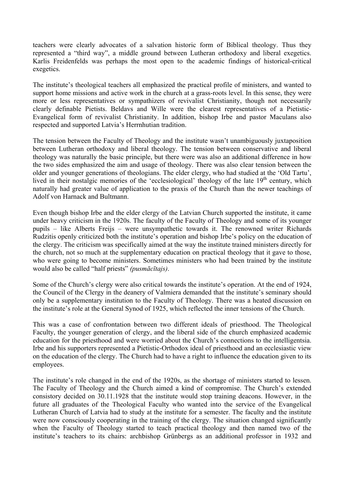teachers were clearly advocates of a salvation historic form of Biblical theology. Thus they represented a "third way", a middle ground between Lutheran orthodoxy and liberal exegetics. Karlis Freidenfelds was perhaps the most open to the academic findings of historical-critical exegetics.

The institute's theological teachers all emphasized the practical profile of ministers, and wanted to support home missions and active work in the church at a grass-roots level. In this sense, they were more or less representatives or sympathizers of revivalist Christianity, though not necessarily clearly definable Pietists. Beldavs and Wille were the clearest representatives of a Pietistic-Evangelical form of revivalist Christianity. In addition, bishop Irbe and pastor Maculans also respected and supported Latvia's Herrnhutian tradition.

The tension between the Faculty of Theology and the institute wasn't unambiguously juxtaposition between Lutheran orthodoxy and liberal theology. The tension between conservative and liberal theology was naturally the basic principle, but there were was also an additional difference in how the two sides emphasized the aim and usage of theology. There was also clear tension between the older and younger generations of theologians. The elder clergy, who had studied at the 'Old Tartu', lived in their nostalgic memories of the 'ecclesiological' theology of the late 19<sup>th</sup> century, which naturally had greater value of application to the praxis of the Church than the newer teachings of Adolf von Harnack and Bultmann.

Even though bishop Irbe and the elder clergy of the Latvian Church supported the institute, it came under heavy criticism in the 1920s. The faculty of the Faculty of Theology and some of its younger pupils – like Alberts Freijs – were unsympathetic towards it. The renowned writer Richards Rudzitis openly criticized both the institute's operation and bishop Irbe's policy on the education of the clergy. The criticism was specifically aimed at the way the institute trained ministers directly for the church, not so much at the supplementary education on practical theology that it gave to those, who were going to become ministers. Sometimes ministers who had been trained by the institute would also be called "half priests" *(pusmācītajs)*.

Some of the Church's clergy were also critical towards the institute's operation. At the end of 1924, the Council of the Clergy in the deanery of Valmiera demanded that the institute's seminary should only be a supplementary institution to the Faculty of Theology. There was a heated discussion on the institute's role at the General Synod of 1925, which reflected the inner tensions of the Church.

This was a case of confrontation between two different ideals of priesthood. The Theological Faculty, the younger generation of clergy, and the liberal side of the church emphasized academic education for the priesthood and were worried about the Church's connections to the intelligentsia. Irbe and his supporters represented a Pietistic-Orthodox ideal of priesthood and an ecclesiastic view on the education of the clergy. The Church had to have a right to influence the education given to its employees.

The institute's role changed in the end of the 1920s, as the shortage of ministers started to lessen. The Faculty of Theology and the Church aimed a kind of compromise. The Church's extended consistory decided on 30.11.1928 that the institute would stop training deacons. However, in the future all graduates of the Theological Faculty who wanted into the service of the Evangelical Lutheran Church of Latvia had to study at the institute for a semester. The faculty and the institute were now consciously cooperating in the training of the clergy. The situation changed significantly when the Faculty of Theology started to teach practical theology and then named two of the institute's teachers to its chairs: archbishop Grünbergs as an additional professor in 1932 and